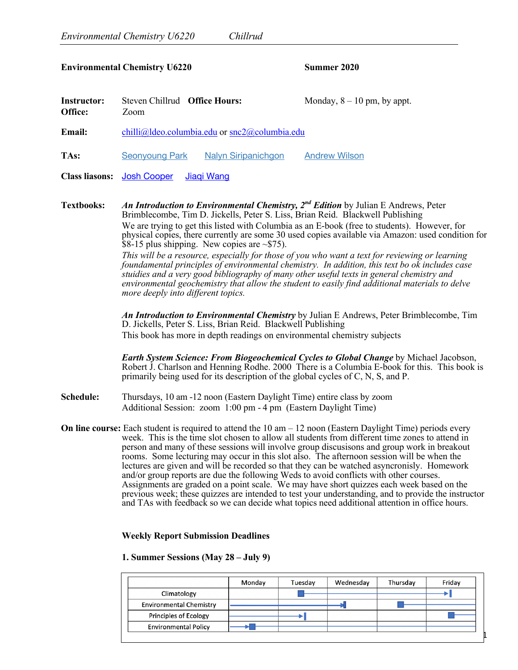## **Environmental Chemistry U6220 Summer 2020**

| <b>Instructor:</b><br>Office: | Steven Chillrud <b>Office Hours:</b><br>Zoom        |                            | Monday, $8 - 10$ pm, by appt. |  |  |
|-------------------------------|-----------------------------------------------------|----------------------------|-------------------------------|--|--|
| <b>Email:</b>                 | $chilli@]$ deo.columbia.edu or $snc2@$ columbia.edu |                            |                               |  |  |
| TAs:                          | Seonyoung Park                                      | <b>Nalyn Siripanichgon</b> | <b>Andrew Wilson</b>          |  |  |
|                               | <b>Class liasons:</b> Josh Cooper                   | Jiagi Wang                 |                               |  |  |

**Textbooks:** *An Introduction to Environmental Chemistry, 2nd Edition* by Julian E Andrews, Peter Brimblecombe, Tim D. Jickells, Peter S. Liss, Brian Reid. Blackwell Publishing We are trying to get this listed with Columbia as an E-book (free to students). However, for physical copies, there currently are some 30 used copies available via Amazon: used condition for  $$8-15$  plus shipping. New copies are  $~575$ ). *This will be a resource, especially for those of you who want a text for reviewing or learning foundamental principles of environmental chemistry. In addition, this text bo ok includes case stuidies and a very good bibliography of many other useful texts in general chemistry and environmental geochemistry that allow the student to easily find additional materials to delve more deeply into different topics.*

> *An Introduction to Environmental Chemistry* by Julian E Andrews, Peter Brimblecombe, Tim D. Jickells, Peter S. Liss, Brian Reid. Blackwell Publishing This book has more in depth readings on environmental chemistry subjects

*Earth System Science: From Biogeochemical Cycles to Global Change* by Michael Jacobson, Robert J. Charlson and Henning Rodhe. 2000 There is a Columbia E-book for this. This book is primarily being used for its description of the global cycles of C, N, S, and P.

- **Schedule:** Thursdays, 10 am -12 noon (Eastern Daylight Time) entire class by zoom Additional Session: zoom 1:00 pm - 4 pm (Eastern Daylight Time)
- **On line course:** Each student is required to attend the 10 am 12 noon (Eastern Daylight Time) periods every week. This is the time slot chosen to allow all students from different time zones to attend in person and many of these sessions will involve group discusisons and group work in breakout rooms. Some lecturing may occur in this slot also. The afternoon session will be when the lectures are given and will be recorded so that they can be watched asyncronisly. Homework and/or group reports are due the following Weds to avoid conflicts with other courses. Assignments are graded on a point scale. We may have short quizzes each week based on the previous week; these quizzes are intended to test your understanding, and to provide the instructor and TAs with feedback so we can decide what topics need additional attention in office hours.

## **Weekly Report Submission Deadlines**

## **1. Summer Sessions (May 28 – July 9)**

|                                | Monday | Tuesday | Wednesday | Thursday | Friday |
|--------------------------------|--------|---------|-----------|----------|--------|
| Climatology                    |        |         |           |          |        |
| <b>Environmental Chemistry</b> |        |         |           |          |        |
| <b>Principles of Ecology</b>   |        |         |           |          |        |
| <b>Environmental Policy</b>    |        |         |           |          |        |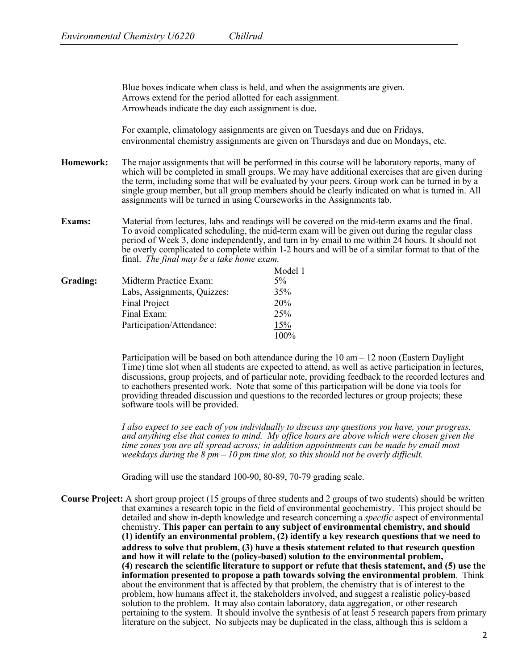Blue boxes indicate when class is held, and when the assignments are given. Arrows extend for the period allotted for each assignment. Arrowheads indicate the day each assignment is due.

For example, climatology assignments are given on Tuesdays and due on Fridays, environmental chemistry assignments are given on Thursdays and due on Mondays, etc.

- **Homework:** The major assignments that will be performed in this course will be laboratory reports, many of which will be completed in small groups. We may have additional exercises that are given during the term, including some that will be evaluated by your peers. Group work can be turned in by a single group member, but all group members should be clearly indicated on what is turned in. All assignments will be turned in using Courseworks in the Assignments tab.
- **Exams:** Material from lectures, labs and readings will be covered on the mid-term exams and the final. To avoid complicated scheduling, the mid-term exam will be given out during the regular class period of Week 3, done independently, and turn in by email to me within 24 hours. It should not be overly complicated to complete within 1-2 hours and will be of a similar format to that of the final. *The final may be a take home exam.*

| Grading: | Midterm Practice Exam:      | Model 1<br>$5\%$ |
|----------|-----------------------------|------------------|
|          | Labs, Assignments, Quizzes: | 35%              |
|          | Final Project               | 20%              |
|          | Final Exam:                 | 25%              |
|          | Participation/Attendance:   | 15%              |
|          |                             | 100%             |

Participation will be based on both attendance during the 10 am – 12 noon (Eastern Daylight Time) time slot when all students are expected to attend, as well as active participation in lectures, discussions, group projects, and of particular note, providing feedback to the recorded lectures and to eachothers presented work. Note that some of this participation will be done via tools for providing threaded discussion and questions to the recorded lectures or group projects; these software tools will be provided.

*I also expect to see each of you individually to discuss any questions you have, your progress, and anything else that comes to mind. My office hours are above which were chosen given the time zones you are all spread across; in addition appointments can be made by email most weekdays during the 8 pm – 10 pm time slot, so this should not be overly difficult.* 

Grading will use the standard 100-90, 80-89, 70-79 grading scale.

**Course Project:** A short group project (15 groups of three students and 2 groups of two students) should be written that examines a research topic in the field of environmental geochemistry. This project should be detailed and show in-depth knowledge and research concerning a *specific* aspect of environmental chemistry. **This paper can pertain to any subject of environmental chemistry, and should (1) identify an environmental problem, (2) identify a key research questions that we need to address to solve that problem, (3) have a thesis statement related to that research question and how it will relate to the (policy-based) solution to the environmental problem, (4) research the scientific literature to support or refute that thesis statement, and (5) use the information presented to propose a path towards solving the environmental problem**. Think about the environment that is affected by that problem, the chemistry that is of interest to the problem, how humans affect it, the stakeholders involved, and suggest a realistic policy-based solution to the problem. It may also contain laboratory, data aggregation, or other research pertaining to the system. It should involve the synthesis of at least 5 research papers from primary literature on the subject. No subjects may be duplicated in the class, although this is seldom a